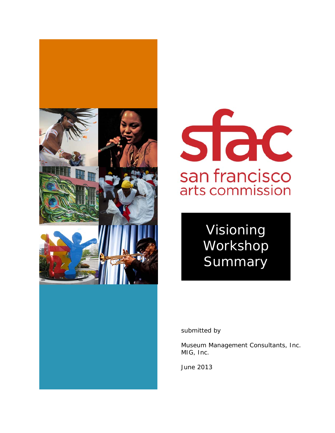



Visioning Workshop **Summary** 

submitted by

Museum Management Consultants, Inc. MIG, Inc.

June 2013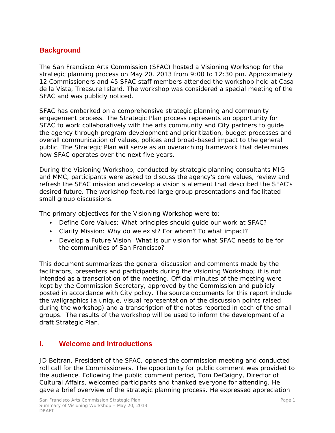# **Background**

The San Francisco Arts Commission (SFAC) hosted a Visioning Workshop for the strategic planning process on May 20, 2013 from 9:00 to 12:30 pm. Approximately 12 Commissioners and 45 SFAC staff members attended the workshop held at Casa de la Vista, Treasure Island. The workshop was considered a special meeting of the SFAC and was publicly noticed.

SFAC has embarked on a comprehensive strategic planning and community engagement process. The Strategic Plan process represents an opportunity for SFAC to work collaboratively with the arts community and City partners to guide the agency through program development and prioritization, budget processes and overall communication of values, polices and broad-based impact to the general public. The Strategic Plan will serve as an overarching framework that determines how SFAC operates over the next five years.

During the Visioning Workshop, conducted by strategic planning consultants MIG and MMC, participants were asked to discuss the agency's core values, review and refresh the SFAC mission and develop a vision statement that described the SFAC's desired future. The workshop featured large group presentations and facilitated small group discussions.

The primary objectives for the Visioning Workshop were to:

- Define Core Values: What principles should guide our work at SFAC?
- Clarify Mission: Why do we exist? For whom? To what impact?
- Develop a Future Vision: What is our vision for what SFAC needs to be for the communities of San Francisco?

This document summarizes the general discussion and comments made by the facilitators, presenters and participants during the Visioning Workshop; it is not intended as a transcription of the meeting. Official minutes of the meeting were kept by the Commission Secretary, approved by the Commission and publicly posted in accordance with City policy. The source documents for this report include the wallgraphics (a unique, visual representation of the discussion points raised during the workshop) and a transcription of the notes reported in each of the small groups. The results of the workshop will be used to inform the development of a draft Strategic Plan.

## **I. Welcome and Introductions**

JD Beltran, President of the SFAC, opened the commission meeting and conducted roll call for the Commissioners. The opportunity for public comment was provided to the audience. Following the public comment period, Tom DeCaigny, Director of Cultural Affairs, welcomed participants and thanked everyone for attending. He gave a brief overview of the strategic planning process. He expressed appreciation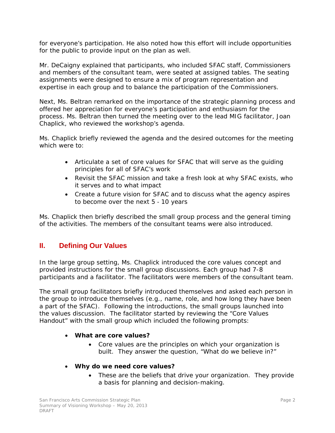for everyone's participation. He also noted how this effort will include opportunities for the public to provide input on the plan as well.

Mr. DeCaigny explained that participants, who included SFAC staff, Commissioners and members of the consultant team, were seated at assigned tables. The seating assignments were designed to ensure a mix of program representation and expertise in each group and to balance the participation of the Commissioners.

Next, Ms. Beltran remarked on the importance of the strategic planning process and offered her appreciation for everyone's participation and enthusiasm for the process. Ms. Beltran then turned the meeting over to the lead MIG facilitator, Joan Chaplick, who reviewed the workshop's agenda.

Ms. Chaplick briefly reviewed the agenda and the desired outcomes for the meeting which were to:

- Articulate a set of core values for SFAC that will serve as the guiding principles for all of SFAC's work
- Revisit the SFAC mission and take a fresh look at why SFAC exists, who it serves and to what impact
- Create a future vision for SFAC and to discuss what the agency aspires to become over the next 5‐10 years

Ms. Chaplick then briefly described the small group process and the general timing of the activities. The members of the consultant teams were also introduced.

# **II. Defining Our Values**

In the large group setting, Ms. Chaplick introduced the core values concept and provided instructions for the small group discussions. Each group had 7-8 participants and a facilitator. The facilitators were members of the consultant team.

The small group facilitators briefly introduced themselves and asked each person in the group to introduce themselves (e.g., name, role, and how long they have been a part of the SFAC). Following the introductions, the small groups launched into the values discussion. The facilitator started by reviewing the "Core Values Handout" with the small group which included the following prompts:

#### • *What are core values?*

- Core values are the principles on which your organization is built. They answer the question, "What do we believe in?"
- *Why do we need core values?* 
	- These are the beliefs that drive your organization. They provide a basis for planning and decision-making.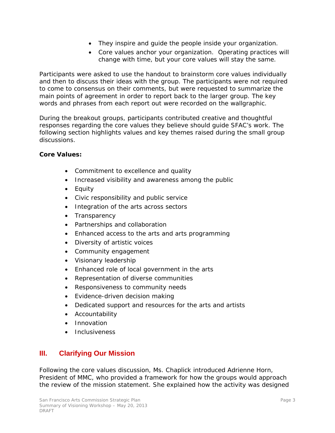- They inspire and guide the people inside your organization.
- Core values anchor your organization. Operating practices will change with time, but your core values will stay the same.

Participants were asked to use the handout to brainstorm core values individually and then to discuss their ideas with the group. The participants were not required to come to consensus on their comments, but were requested to summarize the main points of agreement in order to report back to the larger group. The key words and phrases from each report out were recorded on the wallgraphic.

During the breakout groups, participants contributed creative and thoughtful responses regarding the core values they believe should guide SFAC's work. The following section highlights values and key themes raised during the small group discussions.

#### *Core Values:*

- Commitment to excellence and quality
- Increased visibility and awareness among the public
- Equity
- Civic responsibility and public service
- Integration of the arts across sectors
- Transparency
- Partnerships and collaboration
- Enhanced access to the arts and arts programming
- Diversity of artistic voices
- Community engagement
- Visionary leadership
- Enhanced role of local government in the arts
- Representation of diverse communities
- Responsiveness to community needs
- Evidence-driven decision making
- Dedicated support and resources for the arts and artists
- Accountability
- Innovation
- **Inclusiveness**

# **III. Clarifying Our Mission**

Following the core values discussion, Ms. Chaplick introduced Adrienne Horn, President of MMC, who provided a framework for how the groups would approach the review of the mission statement. She explained how the activity was designed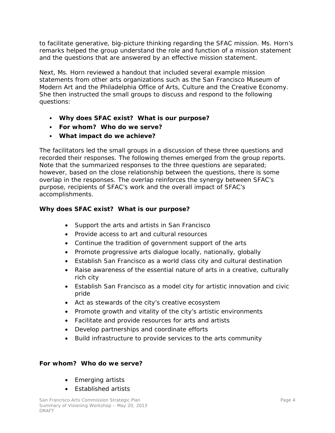to facilitate generative, big-picture thinking regarding the SFAC mission. Ms. Horn's remarks helped the group understand the role and function of a mission statement and the questions that are answered by an effective mission statement.

Next, Ms. Horn reviewed a handout that included several example mission statements from other arts organizations such as the San Francisco Museum of Modern Art and the Philadelphia Office of Arts, Culture and the Creative Economy. She then instructed the small groups to discuss and respond to the following questions:

- *Why does SFAC exist? What is our purpose?*
- *For whom? Who do we serve?*
- *What impact do we achieve?*

The facilitators led the small groups in a discussion of these three questions and recorded their responses. The following themes emerged from the group reports. Note that the summarized responses to the three questions are separated; however, based on the close relationship between the questions, there is some overlap in the responses. The overlap reinforces the synergy between SFAC's purpose, recipients of SFAC's work and the overall impact of SFAC's accomplishments.

## *Why does SFAC exist? What is our purpose?*

- Support the arts and artists in San Francisco
- Provide access to art and cultural resources
- Continue the tradition of government support of the arts
- Promote progressive arts dialogue locally, nationally, globally
- Establish San Francisco as a world class city and cultural destination
- Raise awareness of the essential nature of arts in a creative, culturally rich city
- Establish San Francisco as a model city for artistic innovation and civic pride
- Act as stewards of the city's creative ecosystem
- Promote growth and vitality of the city's artistic environments
- Facilitate and provide resources for arts and artists
- Develop partnerships and coordinate efforts
- Build infrastructure to provide services to the arts community

#### *For whom? Who do we serve?*

- Emerging artists
- Established artists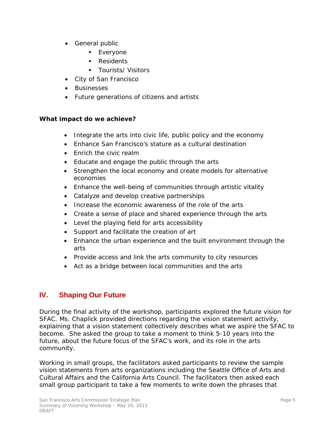- General public
	- **Everyone**
	- Residents
	- Tourists/ Visitors
- City of San Francisco
- Businesses
- Future generations of citizens and artists

## *What impact do we achieve?*

- Integrate the arts into civic life, public policy and the economy
- Enhance San Francisco's stature as a cultural destination
- Enrich the civic realm
- Educate and engage the public through the arts
- Strengthen the local economy and create models for alternative economies
- Enhance the well-being of communities through artistic vitality
- Catalyze and develop creative partnerships
- Increase the economic awareness of the role of the arts
- Create a sense of place and shared experience through the arts
- Level the playing field for arts accessibility
- Support and facilitate the creation of art
- Enhance the urban experience and the built environment through the arts
- Provide access and link the arts community to city resources
- Act as a bridge between local communities and the arts

# **IV. Shaping Our Future**

During the final activity of the workshop, participants explored the future vision for SFAC. Ms. Chaplick provided directions regarding the vision statement activity, explaining that a vision statement collectively describes what we aspire the SFAC to become. She asked the group to take a moment to think 5-10 years into the future, about the future focus of the SFAC's work, and its role in the arts community.

Working in small groups, the facilitators asked participants to review the sample vision statements from arts organizations including the Seattle Office of Arts and Cultural Affairs and the California Arts Council. The facilitators then asked each small group participant to take a few moments to write down the phrases that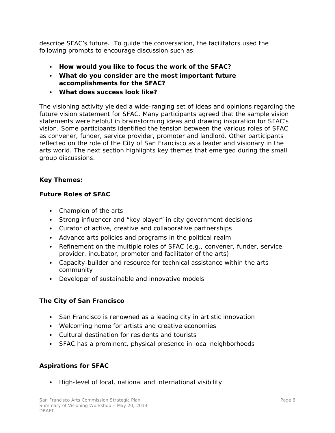describe SFAC's future. To guide the conversation, the facilitators used the following prompts to encourage discussion such as:

- *How would you like to focus the work of the SFAC?*
- *What do you consider are the most important future accomplishments for the SFAC?*
- *What does success look like?*

The visioning activity yielded a wide-ranging set of ideas and opinions regarding the future vision statement for SFAC. Many participants agreed that the sample vision statements were helpful in brainstorming ideas and drawing inspiration for SFAC's vision. Some participants identified the tension between the various roles of SFAC as convener, funder, service provider, promoter and landlord. Other participants reflected on the role of the City of San Francisco as a leader and visionary in the arts world. The next section highlights key themes that emerged during the small group discussions.

## *Key Themes:*

## **Future Roles of SFAC**

- Champion of the arts
- Strong influencer and "key player" in city government decisions
- Curator of active, creative and collaborative partnerships
- Advance arts policies and programs in the political realm
- Refinement on the multiple roles of SFAC (e.g., convener, funder, service provider, incubator, promoter and facilitator of the arts)
- Capacity-builder and resource for technical assistance within the arts community
- Developer of sustainable and innovative models

#### **The City of San Francisco**

- San Francisco is renowned as a leading city in artistic innovation
- Welcoming home for artists and creative economies
- Cultural destination for residents and tourists
- SFAC has a prominent, physical presence in local neighborhoods

## **Aspirations for SFAC**

• High-level of local, national and international visibility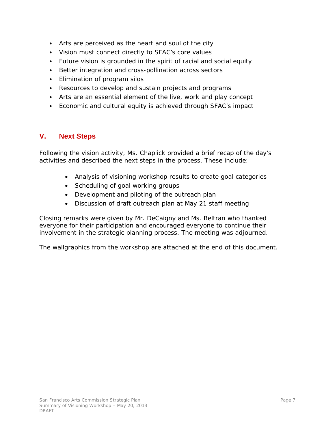- Arts are perceived as the heart and soul of the city
- Vision must connect directly to SFAC's core values
- Future vision is grounded in the spirit of racial and social equity
- Better integration and cross-pollination across sectors
- Elimination of program silos
- Resources to develop and sustain projects and programs
- Arts are an essential element of the live, work and play concept
- Economic and cultural equity is achieved through SFAC's impact

## **V. Next Steps**

Following the vision activity, Ms. Chaplick provided a brief recap of the day's activities and described the next steps in the process. These include:

- Analysis of visioning workshop results to create goal categories
- Scheduling of goal working groups
- Development and piloting of the outreach plan
- Discussion of draft outreach plan at May 21 staff meeting

Closing remarks were given by Mr. DeCaigny and Ms. Beltran who thanked everyone for their participation and encouraged everyone to continue their involvement in the strategic planning process. The meeting was adjourned.

The wallgraphics from the workshop are attached at the end of this document.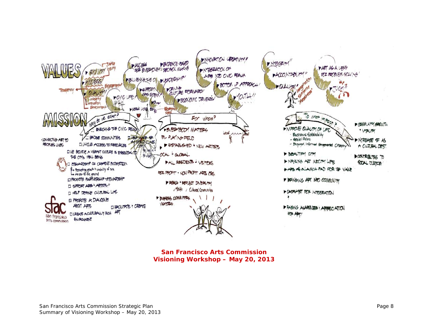

**San Francisco Arts Commission Visioning Workshop – May 20, 2013**